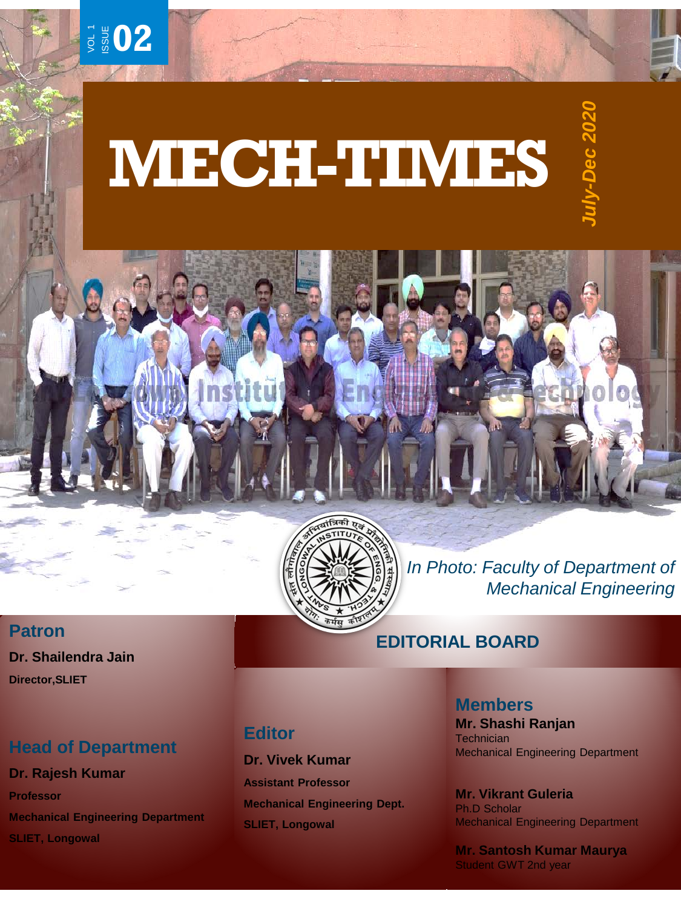

# **MECH-TIMES**



*In Photo: Faculty of Department of Mechanical Engineering*

## **EDITORIAL BOARD**

# **Editor**

**Dr. Vivek Kumar Assistant Professor Mechanical Engineering Dept. SLIET, Longowal**

#### **Members**

**Mr. Shashi Ranjan Technician** Mechanical Engineering Department

**Mr. Vikrant Guleria** Ph.D Scholar Mechanical Engineering Department

**Mr. Santosh Kumar Maurya** Student GWT 2nd year

## **Patron**

**Dr. Shailendra Jain Director,SLIET**

# **Head of Department**

**Dr. Rajesh Kumar Professor Mechanical Engineering Department SLIET, Longowal**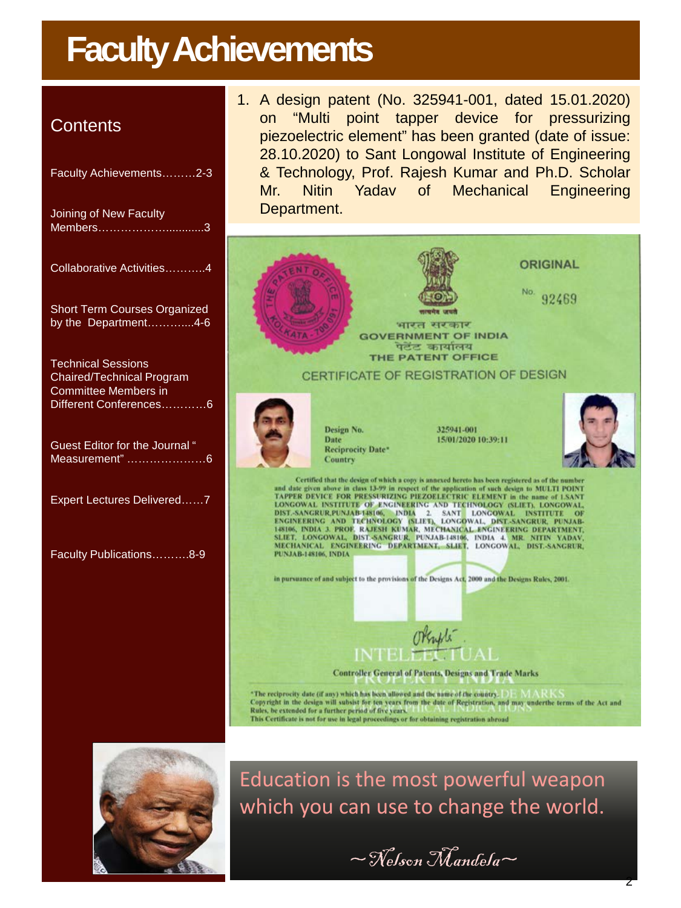# **Faculty Achievements**

# **Contents**

| Faculty Achievements2-3                                                                                  |
|----------------------------------------------------------------------------------------------------------|
| Joining of New Faculty<br>Members3                                                                       |
| Collaborative Activities4                                                                                |
| <b>Short Term Courses Organized</b><br>by the Department4-6                                              |
| <b>Technical Sessions</b><br>Chaired/Technical Program<br>Committee Members in<br>Different Conferences6 |
| Guest Editor for the Journal "<br>Measurement" 6                                                         |
| Expert Lectures Delivered7                                                                               |
| Faculty Publications8-9                                                                                  |

1. A design patent (No. 325941-001, dated 15.01.2020) on "Multi point tapper device for pressurizing piezoelectric element" has been granted (date of issue: 28.10.2020) to Sant Longowal Institute of Engineering & Technology, Prof. Rajesh Kumar and Ph.D. Scholar Mr. Nitin Yadav of Mechanical Engineering Department.





Education is the most powerful weapon which you can use to change the world.

 $\sim$ Nelson Mandela $\sim$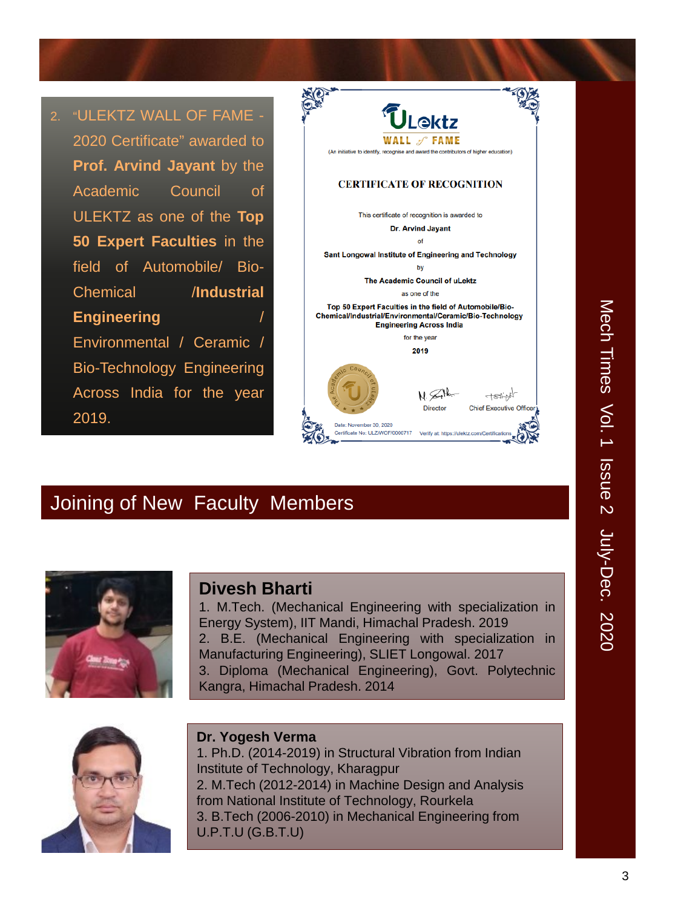2. "ULEKTZ WALL OF FAME - 2020 Certificate" awarded to **Prof. Arvind Jayant** by the Academic Council of ULEKTZ as one of the **Top 50 Expert Faculties** in the field of Automobile/ Bio-Chemical /**Industrial Engineering** Environmental / Ceramic / Bio-Technology Engineering Across India for the year 2019.



# Joining of New Faculty Members



#### **Divesh Bharti**

1. M.Tech. (Mechanical Engineering with specialization in Energy System), IIT Mandi, Himachal Pradesh. 2019 2. B.E. (Mechanical Engineering with specialization in Manufacturing Engineering), SLIET Longowal. 2017 3. Diploma (Mechanical Engineering), Govt. Polytechnic Kangra, Himachal Pradesh. 2014



#### **Dr. Yogesh Verma**

1. Ph.D. (2014-2019) in Structural Vibration from Indian Institute of Technology, Kharagpur 2. M.Tech (2012-2014) in Machine Design and Analysis from National Institute of Technology, Rourkela 3. B.Tech (2006-2010) in Mechanical Engineering from U.P.T.U (G.B.T.U)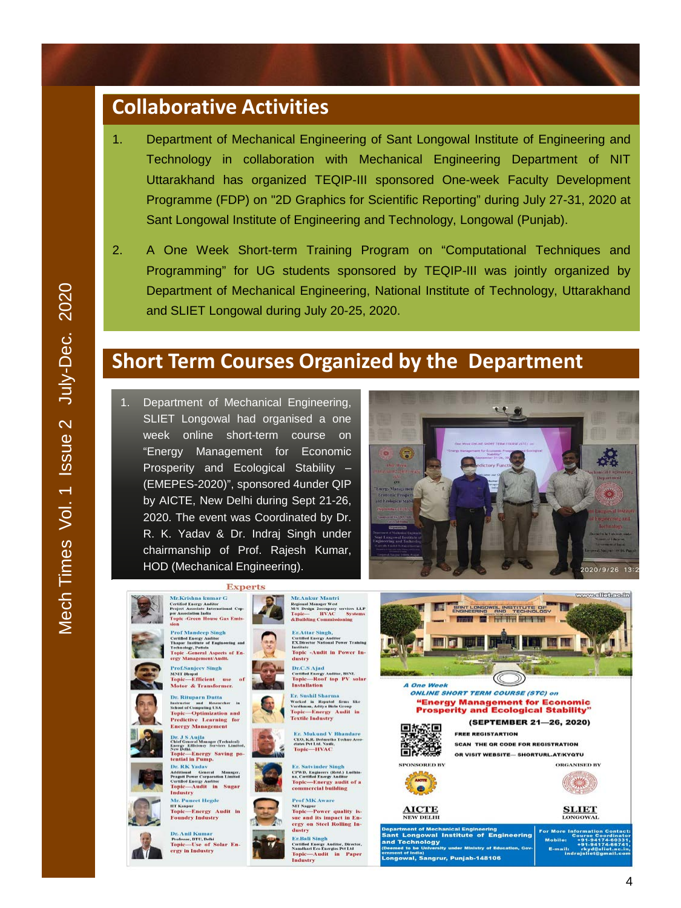# **Collaborative Activities**

- 1. Department of Mechanical Engineering of Sant Longowal Institute of Engineering and Technology in collaboration with Mechanical Engineering Department of NIT Uttarakhand has organized TEQIP-III sponsored One-week Faculty Development Programme (FDP) on "2D Graphics for Scientific Reporting" during July 27-31, 2020 at Sant Longowal Institute of Engineering and Technology, Longowal (Punjab).
- 2. A One Week Short-term Training Program on "Computational Techniques and Programming" for UG students sponsored by TEQIP-III was jointly organized by Department of Mechanical Engineering, National Institute of Technology, Uttarakhand and SLIET Longowal during July 20-25, 2020.

# **Short Term Courses Organized by the Department**

1. Department of Mechanical Engineering, SLIET Longowal had organised a one week online short-term course on "Energy Management for Economic Prosperity and Ecological Stability – (EMEPES-2020)", sponsored 4under QIP by AICTE, New Delhi during Sept 21-26, 2020. The event was Coordinated by Dr. R. K. Yadav & Dr. Indraj Singh under chairmanship of Prof. Rajesh Kumar, HOD (Mechanical Engineering).





al, Sangrur, Punjab-148106

Topic-Audit in Paper<br>Industry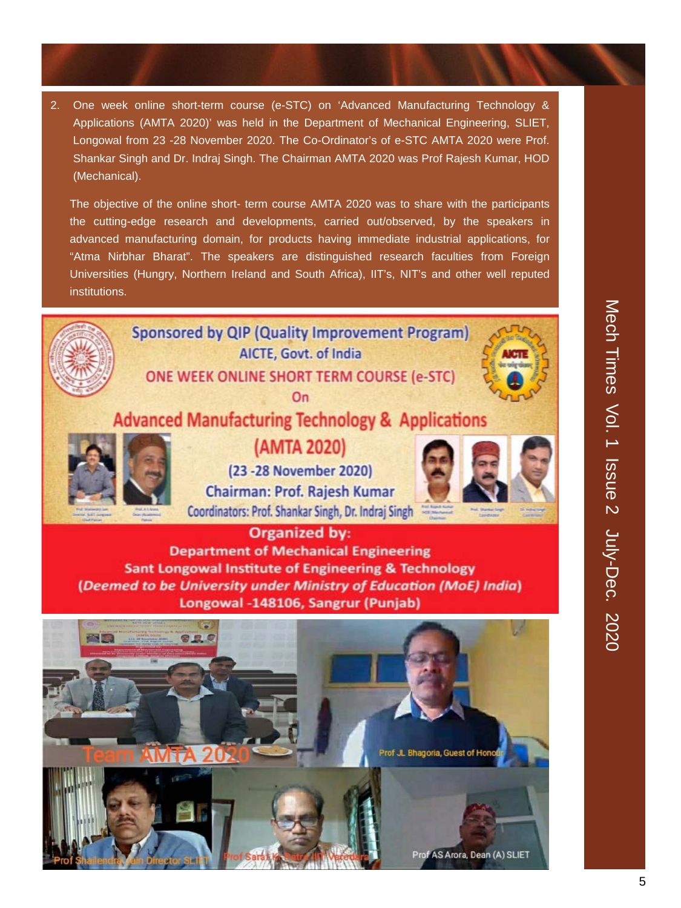2. One week online short-term course (e-STC) on 'Advanced Manufacturing Technology & Applications (AMTA 2020)' was held in the Department of Mechanical Engineering, SLIET, Longowal from 23 -28 November 2020. The Co-Ordinator's of e-STC AMTA 2020 were Prof. Shankar Singh and Dr. Indraj Singh. The Chairman AMTA 2020 was Prof Rajesh Kumar, HOD (Mechanical).

The objective of the online short- term course AMTA 2020 was to share with the participants the cutting-edge research and developments, carried out/observed, by the speakers in advanced manufacturing domain, for products having immediate industrial applications, for "Atma Nirbhar Bharat". The speakers are distinguished research faculties from Foreign Universities (Hungry, Northern Ireland and South Africa), IIT's, NIT's and other well reputed institutions.

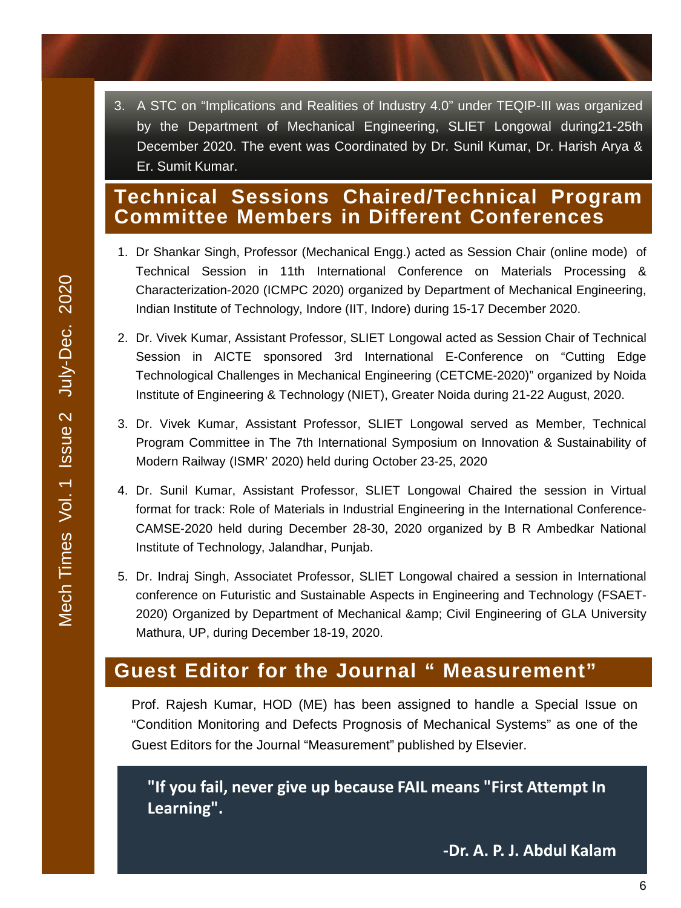3. A STC on "Implications and Realities of Industry 4.0" under TEQIP-III was organized by the Department of Mechanical Engineering, SLIET Longowal during21-25th December 2020. The event was Coordinated by Dr. Sunil Kumar, Dr. Harish Arya & Er. Sumit Kumar.

# **Technical Sessions Chaired/Technical Program Committee Members in Different Conferences**

- 1. Dr Shankar Singh, Professor (Mechanical Engg.) acted as Session Chair (online mode) of Technical Session in 11th International Conference on Materials Processing & Characterization-2020 (ICMPC 2020) organized by Department of Mechanical Engineering, Indian Institute of Technology, Indore (IIT, Indore) during 15-17 December 2020.
- 2. Dr. Vivek Kumar, Assistant Professor, SLIET Longowal acted as Session Chair of Technical Session in AICTE sponsored 3rd International E-Conference on "Cutting Edge Technological Challenges in Mechanical Engineering (CETCME-2020)" organized by Noida Institute of Engineering & Technology (NIET), Greater Noida during 21-22 August, 2020.
- 3. Dr. Vivek Kumar, Assistant Professor, SLIET Longowal served as Member, Technical Program Committee in The 7th International Symposium on Innovation & Sustainability of Modern Railway (ISMR' 2020) held during October 23-25, 2020
- 4. Dr. Sunil Kumar, Assistant Professor, SLIET Longowal Chaired the session in Virtual format for track: Role of Materials in Industrial Engineering in the International Conference-CAMSE-2020 held during December 28-30, 2020 organized by B R Ambedkar National Institute of Technology, Jalandhar, Punjab.
- 5. Dr. Indraj Singh, Associatet Professor, SLIET Longowal chaired a session in International conference on Futuristic and Sustainable Aspects in Engineering and Technology (FSAET-2020) Organized by Department of Mechanical & amp; Civil Engineering of GLA University Mathura, UP, during December 18-19, 2020.

# **Guest Editor for the Journal " Measurement"**

Prof. Rajesh Kumar, HOD (ME) has been assigned to handle a Special Issue on "Condition Monitoring and Defects Prognosis of Mechanical Systems" as one of the Guest Editors for the Journal "Measurement" published by Elsevier.

**"If you fail, never give up because FAIL means "First Attempt In Learning".**

**-Dr. A. P. J. Abdul Kalam**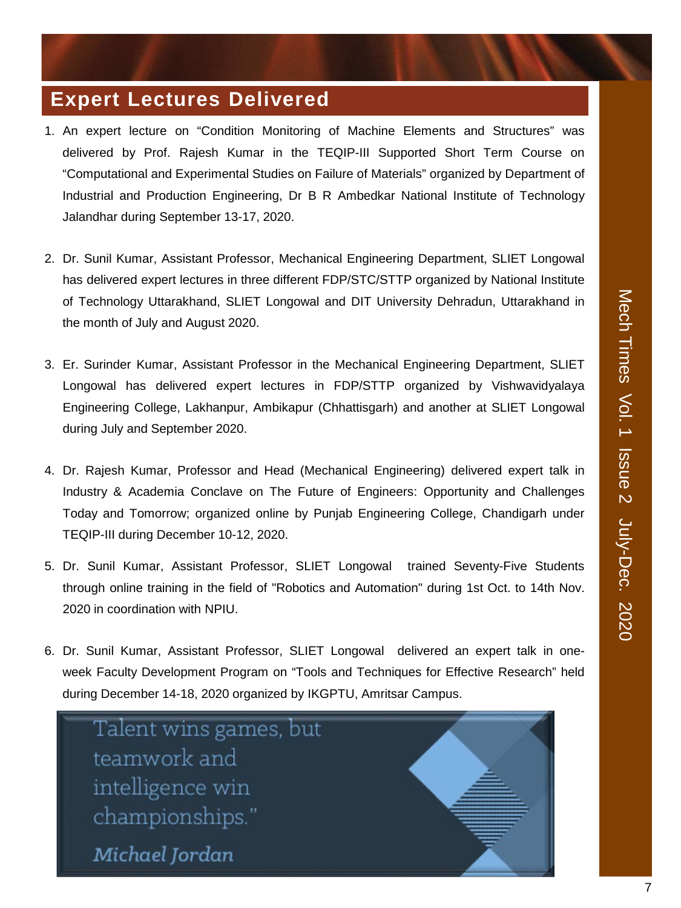# **Expert Lectures Delivered**

- 1. An expert lecture on "Condition Monitoring of Machine Elements and Structures" was delivered by Prof. Rajesh Kumar in the TEQIP-III Supported Short Term Course on "Computational and Experimental Studies on Failure of Materials" organized by Department of Industrial and Production Engineering, Dr B R Ambedkar National Institute of Technology Jalandhar during September 13-17, 2020.
- 2. Dr. Sunil Kumar, Assistant Professor, Mechanical Engineering Department, SLIET Longowal has delivered expert lectures in three different FDP/STC/STTP organized by National Institute of Technology Uttarakhand, SLIET Longowal and DIT University Dehradun, Uttarakhand in the month of July and August 2020.
- 3. Er. Surinder Kumar, Assistant Professor in the Mechanical Engineering Department, SLIET Longowal has delivered expert lectures in FDP/STTP organized by Vishwavidyalaya Engineering College, Lakhanpur, Ambikapur (Chhattisgarh) and another at SLIET Longowal during July and September 2020.
- 4. Dr. Rajesh Kumar, Professor and Head (Mechanical Engineering) delivered expert talk in Industry & Academia Conclave on The Future of Engineers: Opportunity and Challenges Today and Tomorrow; organized online by Punjab Engineering College, Chandigarh under TEQIP-III during December 10-12, 2020.
- 5. Dr. Sunil Kumar, Assistant Professor, SLIET Longowal trained Seventy-Five Students through online training in the field of "Robotics and Automation" during 1st Oct. to 14th Nov. 2020 in coordination with NPIU.
- 6. Dr. Sunil Kumar, Assistant Professor, SLIET Longowal delivered an expert talk in oneweek Faculty Development Program on "Tools and Techniques for Effective Research" held during December 14-18, 2020 organized by IKGPTU, Amritsar Campus.

Talent wins games, but teamwork and intelligence win championships." Michael Jordan

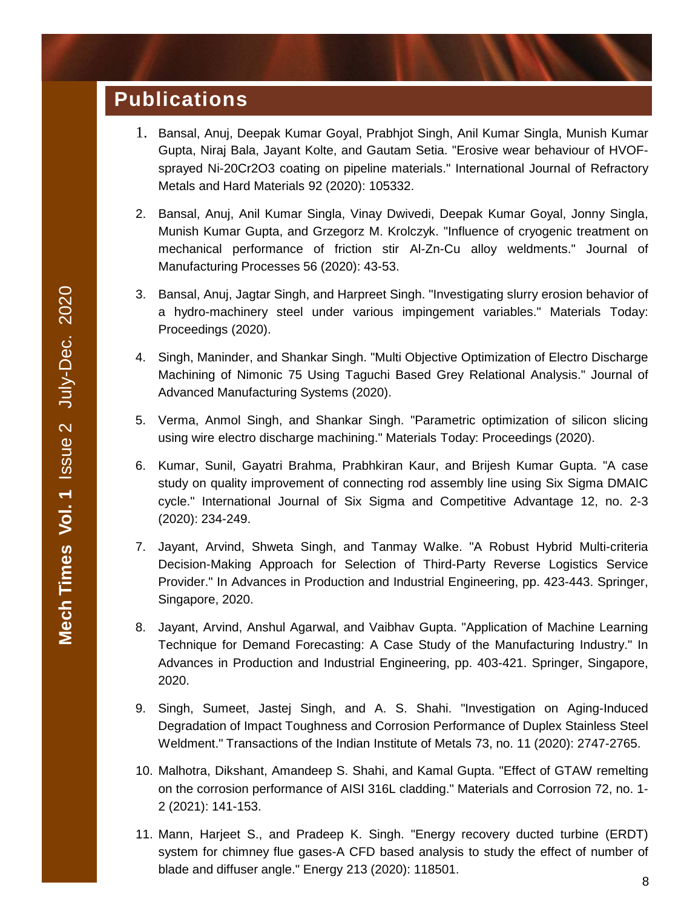# **Publications**

- 1. Bansal, Anuj, Deepak Kumar Goyal, Prabhjot Singh, Anil Kumar Singla, Munish Kumar Gupta, Niraj Bala, Jayant Kolte, and Gautam Setia. "Erosive wear behaviour of HVOFsprayed Ni-20Cr2O3 coating on pipeline materials." International Journal of Refractory Metals and Hard Materials 92 (2020): 105332.
- 2. Bansal, Anuj, Anil Kumar Singla, Vinay Dwivedi, Deepak Kumar Goyal, Jonny Singla, Munish Kumar Gupta, and Grzegorz M. Krolczyk. "Influence of cryogenic treatment on mechanical performance of friction stir Al-Zn-Cu alloy weldments." Journal of Manufacturing Processes 56 (2020): 43-53.
- 3. Bansal, Anuj, Jagtar Singh, and Harpreet Singh. "Investigating slurry erosion behavior of a hydro-machinery steel under various impingement variables." Materials Today: Proceedings (2020).
- 4. Singh, Maninder, and Shankar Singh. "Multi Objective Optimization of Electro Discharge Machining of Nimonic 75 Using Taguchi Based Grey Relational Analysis." Journal of Advanced Manufacturing Systems (2020).
- 5. Verma, Anmol Singh, and Shankar Singh. "Parametric optimization of silicon slicing using wire electro discharge machining." Materials Today: Proceedings (2020).
- 6. Kumar, Sunil, Gayatri Brahma, Prabhkiran Kaur, and Brijesh Kumar Gupta. "A case study on quality improvement of connecting rod assembly line using Six Sigma DMAIC cycle." International Journal of Six Sigma and Competitive Advantage 12, no. 2-3 (2020): 234-249.
- 7. Jayant, Arvind, Shweta Singh, and Tanmay Walke. "A Robust Hybrid Multi-criteria Decision-Making Approach for Selection of Third-Party Reverse Logistics Service Provider." In Advances in Production and Industrial Engineering, pp. 423-443. Springer, Singapore, 2020.
- 8. Jayant, Arvind, Anshul Agarwal, and Vaibhav Gupta. "Application of Machine Learning Technique for Demand Forecasting: A Case Study of the Manufacturing Industry." In Advances in Production and Industrial Engineering, pp. 403-421. Springer, Singapore, 2020.
- 9. Singh, Sumeet, Jastej Singh, and A. S. Shahi. "Investigation on Aging-Induced Degradation of Impact Toughness and Corrosion Performance of Duplex Stainless Steel Weldment." Transactions of the Indian Institute of Metals 73, no. 11 (2020): 2747-2765.
- 10. Malhotra, Dikshant, Amandeep S. Shahi, and Kamal Gupta. "Effect of GTAW remelting on the corrosion performance of AISI 316L cladding." Materials and Corrosion 72, no. 1- 2 (2021): 141-153.
- 11. Mann, Harjeet S., and Pradeep K. Singh. "Energy recovery ducted turbine (ERDT) system for chimney flue gases-A CFD based analysis to study the effect of number of blade and diffuser angle." Energy 213 (2020): 118501.